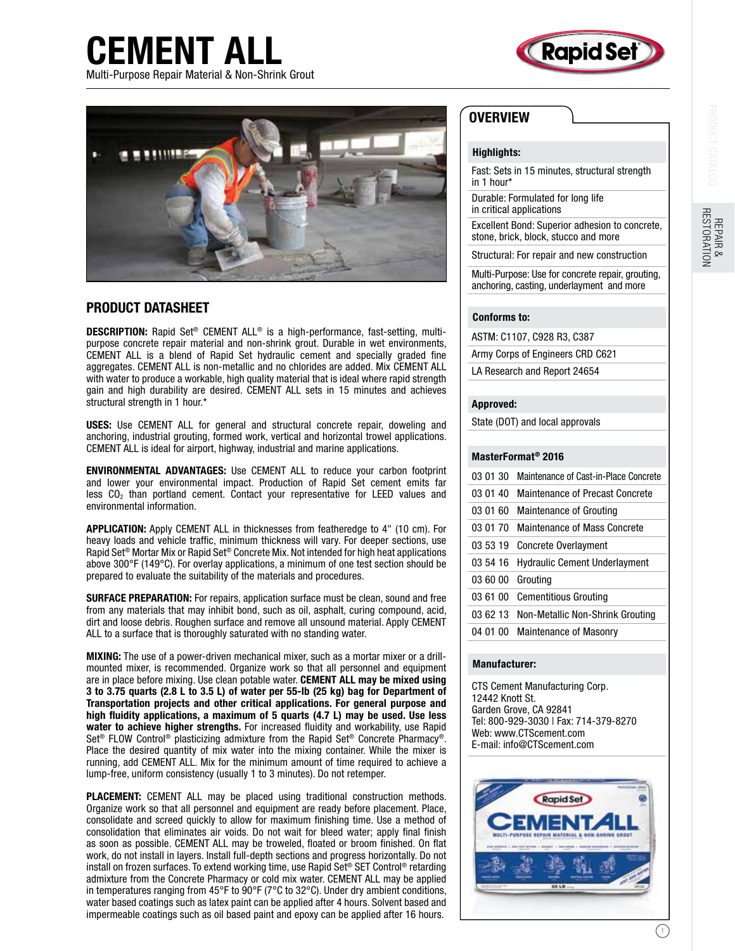

CEMENT ALL Multi-Purpose Repair Material & Non-Shrink Grout



### PRODUCT DATASHEET

DESCRIPTION: Rapid Set® CEMENT ALL® is a high-performance, fast-setting, multipurpose concrete repair material and non-shrink grout. Durable in wet environments, CEMENT ALL is a blend of Rapid Set hydraulic cement and specially graded fine aggregates. CEMENT ALL is non-metallic and no chlorides are added. Mix CEMENT ALL with water to produce a workable, high quality material that is ideal where rapid strength gain and high durability are desired. CEMENT ALL sets in 15 minutes and achieves structural strength in 1 hour.\*

USES: Use CEMENT ALL for general and structural concrete repair, doweling and anchoring, industrial grouting, formed work, vertical and horizontal trowel applications. CEMENT ALL is ideal for airport, highway, industrial and marine applications.

ENVIRONMENTAL ADVANTAGES: Use CEMENT ALL to reduce your carbon footprint and lower your environmental impact. Production of Rapid Set cement emits far  $\log$  than portland cement. Contact your representative for LEED values and environmental information.

APPLICATION: Apply CEMENT ALL in thicknesses from featheredge to 4" (10 cm). For heavy loads and vehicle traffic, minimum thickness will vary. For deeper sections, use Rapid Set® Mortar Mix or Rapid Set® Concrete Mix. Not intended for high heat applications above 300°F (149°C). For overlay applications, a minimum of one test section should be prepared to evaluate the suitability of the materials and procedures.

SURFACE PREPARATION: For repairs, application surface must be clean, sound and free from any materials that may inhibit bond, such as oil, asphalt, curing compound, acid, dirt and loose debris. Roughen surface and remove all unsound material. Apply CEMENT ALL to a surface that is thoroughly saturated with no standing water.

MIXING: The use of a power-driven mechanical mixer, such as a mortar mixer or a drillmounted mixer, is recommended. Organize work so that all personnel and equipment are in place before mixing. Use clean potable water. CEMENT ALL may be mixed using 3 to 3.75 quarts (2.8 L to 3.5 L) of water per 55-lb (25 kg) bag for Department of Transportation projects and other critical applications. For general purpose and high fluidity applications, a maximum of 5 quarts (4.7 L) may be used. Use less water to achieve higher strengths. For increased fluidity and workability, use Rapid Set® FLOW Control® plasticizing admixture from the Rapid Set® Concrete Pharmacy®. Place the desired quantity of mix water into the mixing container. While the mixer is running, add CEMENT ALL. Mix for the minimum amount of time required to achieve a lump-free, uniform consistency (usually 1 to 3 minutes). Do not retemper.

PLACEMENT: CEMENT ALL may be placed using traditional construction methods. Organize work so that all personnel and equipment are ready before placement. Place, consolidate and screed quickly to allow for maximum finishing time. Use a method of consolidation that eliminates air voids. Do not wait for bleed water; apply final finish as soon as possible. CEMENT ALL may be troweled, floated or broom finished. On flat work, do not install in layers. Install full-depth sections and progress horizontally. Do not install on frozen surfaces. To extend working time, use Rapid Set® SET Control® retarding admixture from the Concrete Pharmacy or cold mix water. CEMENT ALL may be applied in temperatures ranging from 45°F to 90°F (7°C to 32°C). Under dry ambient conditions, water based coatings such as latex paint can be applied after 4 hours. Solvent based and impermeable coatings such as oil based paint and epoxy can be applied after 16 hours.

## **OVERVIEW**

#### Highlights:

Fast: Sets in 15 minutes, structural strength in 1 hour\*

Durable: Formulated for long life in critical applications

Excellent Bond: Superior adhesion to concrete, stone, brick, block, stucco and more

Structural: For repair and new construction

Multi-Purpose: Use for concrete repair, grouting, anchoring, casting, underlayment and more

#### Conforms to:

ASTM: C1107, C928 R3, C387

Army Corps of Engineers CRD C621

LA Research and Report 24654

#### Approved:

State (DOT) and local approvals

#### MasterFormat® 2016

| 03 01 30 | Maintenance of Cast-in-Place Concrete |
|----------|---------------------------------------|
| 03 01 40 | Maintenance of Precast Concrete       |
| 03 01 60 | <b>Maintenance of Grouting</b>        |
| 03 01 70 | <b>Maintenance of Mass Concrete</b>   |
| 03 53 19 | <b>Concrete Overlayment</b>           |
| 03 54 16 | <b>Hydraulic Cement Underlayment</b>  |
| 03 60 00 | Grouting                              |
| 03 61 00 | <b>Cementitious Grouting</b>          |
| 036213   | Non-Metallic Non-Shrink Grouting      |
| 04 01 00 | <b>Maintenance of Masonry</b>         |

#### Manufacturer:

CTS Cement Manufacturing Corp. 12442 Knott St. Garden Grove, CA 92841 Tel: 800-929-3030 | Fax: 714-379-8270 Web: www.CTScement.com E-mail: info@CTScement.com